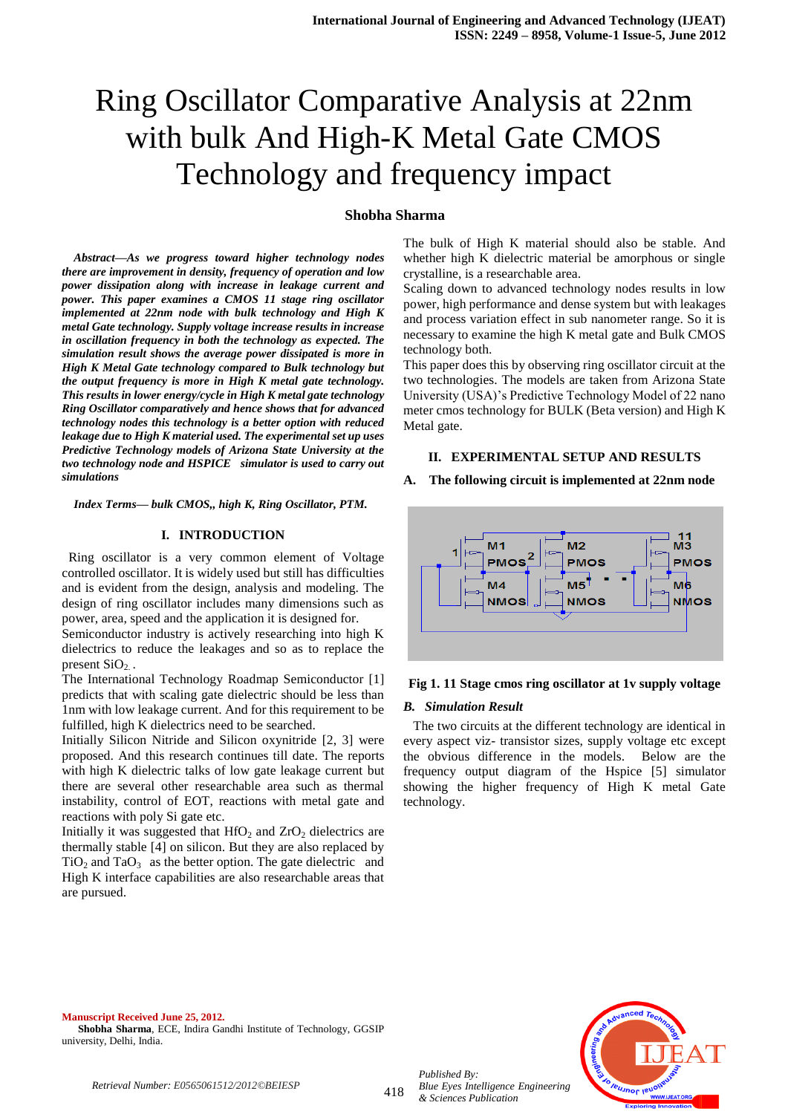# Ring Oscillator Comparative Analysis at 22nm with bulk And High-K Metal Gate CMOS Technology and frequency impact

## **Shobha Sharma**

*Abstract—As we progress toward higher technology nodes there are improvement in density, frequency of operation and low power dissipation along with increase in leakage current and power. This paper examines a CMOS 11 stage ring oscillator implemented at 22nm node with bulk technology and High K metal Gate technology. Supply voltage increase results in increase in oscillation frequency in both the technology as expected. The simulation result shows the average power dissipated is more in High K Metal Gate technology compared to Bulk technology but the output frequency is more in High K metal gate technology. This results in lower energy/cycle in High K metal gate technology Ring Oscillator comparatively and hence shows that for advanced technology nodes this technology is a better option with reduced leakage due to High K material used. The experimental set up uses Predictive Technology models of Arizona State University at the two technology node and HSPICE simulator is used to carry out simulations*

*Index Terms— bulk CMOS,, high K, Ring Oscillator, PTM.*

## **I. INTRODUCTION**

 Ring oscillator is a very common element of Voltage controlled oscillator. It is widely used but still has difficulties and is evident from the design, analysis and modeling. The design of ring oscillator includes many dimensions such as power, area, speed and the application it is designed for.

Semiconductor industry is actively researching into high K dielectrics to reduce the leakages and so as to replace the present  $SiO<sub>2</sub>$ .

The International Technology Roadmap Semiconductor [1] predicts that with scaling gate dielectric should be less than 1nm with low leakage current. And for this requirement to be fulfilled, high K dielectrics need to be searched.

Initially Silicon Nitride and Silicon oxynitride [2, 3] were proposed. And this research continues till date. The reports with high K dielectric talks of low gate leakage current but there are several other researchable area such as thermal instability, control of EOT, reactions with metal gate and reactions with poly Si gate etc.

Initially it was suggested that  $HfO<sub>2</sub>$  and  $ZrO<sub>2</sub>$  dielectrics are thermally stable [4] on silicon. But they are also replaced by  $TiO<sub>2</sub>$  and  $TaO<sub>3</sub>$  as the better option. The gate dielectric and High K interface capabilities are also researchable areas that are pursued.

The bulk of High K material should also be stable. And whether high K dielectric material be amorphous or single crystalline, is a researchable area.

Scaling down to advanced technology nodes results in low power, high performance and dense system but with leakages and process variation effect in sub nanometer range. So it is necessary to examine the high K metal gate and Bulk CMOS technology both.

This paper does this by observing ring oscillator circuit at the two technologies. The models are taken from Arizona State University (USA)'s Predictive Technology Model of 22 nano meter cmos technology for BULK (Beta version) and High K Metal gate.

## **II. EXPERIMENTAL SETUP AND RESULTS**

#### **A. The following circuit is implemented at 22nm node**



# **Fig 1. 11 Stage cmos ring oscillator at 1v supply voltage**

#### *B. Simulation Result*

 The two circuits at the different technology are identical in every aspect viz- transistor sizes, supply voltage etc except the obvious difference in the models. Below are the frequency output diagram of the Hspice [5] simulator showing the higher frequency of High K metal Gate technology.

**Manuscript Received June 25, 2012. Shobha Sharma**, ECE, Indira Gandhi Institute of Technology, GGSIP university, Delhi, India.



*Retrieval Number: E0565061512/2012©BEIESP*

418

*Blue Eyes Intelligence Engineering & Sciences Publication* 

*Published By:*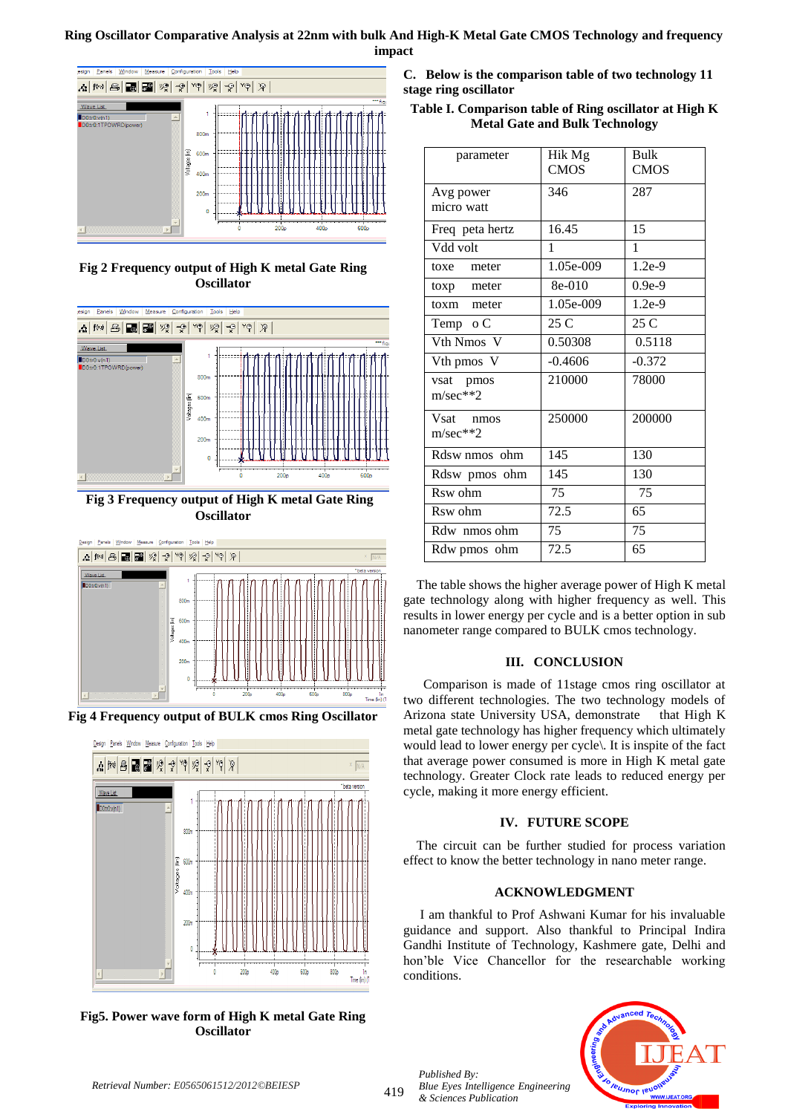# **Ring Oscillator Comparative Analysis at 22nm with bulk And High-K Metal Gate CMOS Technology and frequency impact**



**Fig 2 Frequency output of High K metal Gate Ring Oscillator**



**Fig 3 Frequency output of High K metal Gate Ring Oscillator**



**Fig 4 Frequency output of BULK cmos Ring Oscillator**



**Fig5. Power wave form of High K metal Gate Ring Oscillator**

**C. Below is the comparison table of two technology 11 stage ring oscillator**

**Table I. Comparison table of Ring oscillator at High K Metal Gate and Bulk Technology**

| parameter       | Hik Mg      | Bulk           |
|-----------------|-------------|----------------|
|                 | <b>CMOS</b> | <b>CMOS</b>    |
| Avg power       | 346         | 287            |
| micro watt      |             |                |
| Freq peta hertz | 16.45       | 15             |
| Vdd volt        | 1           | $\mathbf{1}$   |
| toxe meter      | 1.05e-009   | $1.2e-9$       |
| toxp meter      | 8e-010      | $0.9e-9$       |
| toxm meter      | 1.05e-009   | $1.2e-9$       |
| Temp o C        | 25 C        | $25 \text{ C}$ |
| Vth Nmos V      | 0.50308     | 0.5118         |
| Vth pmos V      | $-0.4606$   | $-0.372$       |
| vsat pmos       | 210000      | 78000          |
| $m/sec**2$      |             |                |
| Vsat nmos       | 250000      | 200000         |
| $m/sec**2$      |             |                |
| Rdsw nmos ohm   | 145         | 130            |
| Rdsw pmos ohm   | 145         | 130            |
| Rsw ohm         | 75          | 75             |
| Rsw ohm         | 72.5        | 65             |
| Rdw nmos ohm    | 75          | 75             |
| Rdw pmos ohm    | 72.5        | 65             |
|                 |             |                |

 The table shows the higher average power of High K metal gate technology along with higher frequency as well. This results in lower energy per cycle and is a better option in sub nanometer range compared to BULK cmos technology.

# **III. CONCLUSION**

 Comparison is made of 11stage cmos ring oscillator at two different technologies. The two technology models of Arizona state University USA, demonstrate that High K metal gate technology has higher frequency which ultimately would lead to lower energy per cycle\. It is inspite of the fact that average power consumed is more in High K metal gate technology. Greater Clock rate leads to reduced energy per cycle, making it more energy efficient.

# **IV. FUTURE SCOPE**

 The circuit can be further studied for process variation effect to know the better technology in nano meter range.

# **ACKNOWLEDGMENT**

 I am thankful to Prof Ashwani Kumar for his invaluable guidance and support. Also thankful to Principal Indira Gandhi Institute of Technology, Kashmere gate, Delhi and hon'ble Vice Chancellor for the researchable working conditions.



*Published By:*

*& Sciences Publication*